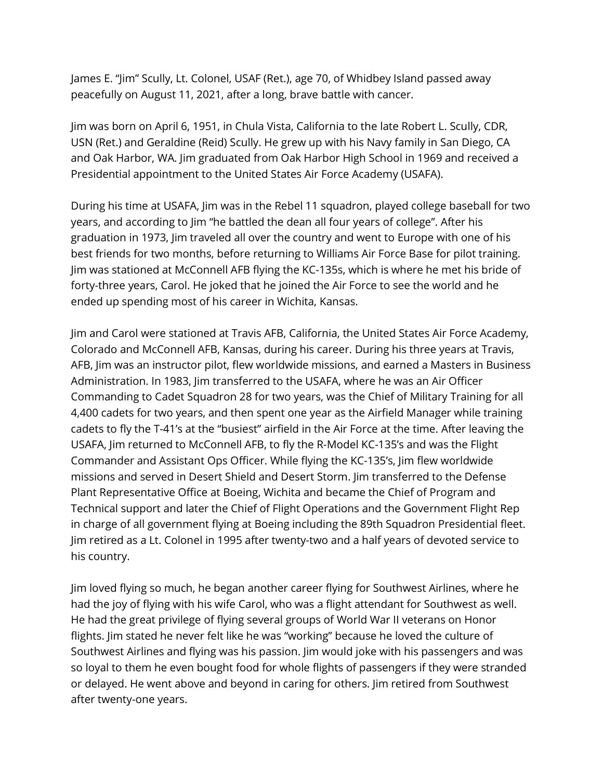James E. "Jim" Scully, Lt. Colonel, USAF (Ret.), age 70, of Whidbey Island passed away peacefully on August 11, 2021, after a long, brave battle with cancer.

Jim was born on April 6, 1951, in Chula Vista, California to the late Robert L. Scully, CDR, USN (Ret.) and Geraldine (Reid) Scully. He grew up with his Navy family in San Diego, CA and Oak Harbor, WA. Jim graduated from Oak Harbor High School in 1969 and received a Presidential appointment to the United States Air Force Academy (USAFA).

During his time at USAFA, Jim was in the Rebel 11 squadron, played college baseball for two years, and according to Jim "he battled the dean all four years of college". After his graduation in 1973, Jim traveled all over the country and went to Europe with one of his best friends for two months, before returning to Williams Air Force Base for pilot training. Jim was stationed at McConnell AFB flying the KC-135s, which is where he met his bride of forty-three years, Carol. He joked that he joined the Air Force to see the world and he ended up spending most of his career in Wichita, Kansas.

Jim and Carol were stationed at Travis AFB, California, the United States Air Force Academy, Colorado and McConnell AFB, Kansas, during his career. During his three years at Travis, AFB, Jim was an instructor pilot, flew worldwide missions, and earned a Masters in Business Administration. In 1983, Jim transferred to the USAFA, where he was an Air Officer Commanding to Cadet Squadron 28 for two years, was the Chief of Military Training for all 4,400 cadets for two years, and then spent one year as the Airfield Manager while training cadets to fly the T-41's at the "busiest" airfield in the Air Force at the time. After leaving the USAFA, Jim returned to McConnell AFB, to fly the R-Model KC-135's and was the Flight Commander and Assistant Ops Officer. While flying the KC-135's, Jim flew worldwide missions and served in Desert Shield and Desert Storm. Jim transferred to the Defense Plant Representative Office at Boeing, Wichita and became the Chief of Program and Technical support and later the Chief of Flight Operations and the Government Flight Rep in charge of all government flying at Boeing including the 89th Squadron Presidential fleet. Jim retired as a Lt. Colonel in 1995 after twenty-two and a half years of devoted service to his country.

Jim loved flying so much, he began another career flying for Southwest Airlines, where he had the joy of flying with his wife Carol, who was a flight attendant for Southwest as well. He had the great privilege of flying several groups of World War II veterans on Honor flights. Jim stated he never felt like he was "working" because he loved the culture of Southwest Airlines and flying was his passion. Jim would joke with his passengers and was so loyal to them he even bought food for whole flights of passengers if they were stranded or delayed. He went above and beyond in caring for others. Jim retired from Southwest after twenty-one years.